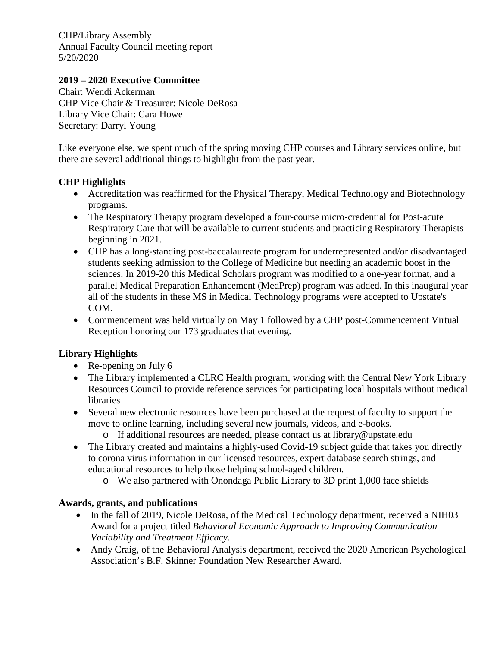CHP/Library Assembly Annual Faculty Council meeting report 5/20/2020

## **2019 – 2020 Executive Committee**

Chair: Wendi Ackerman CHP Vice Chair & Treasurer: Nicole DeRosa Library Vice Chair: Cara Howe Secretary: Darryl Young

Like everyone else, we spent much of the spring moving CHP courses and Library services online, but there are several additional things to highlight from the past year.

## **CHP Highlights**

- Accreditation was reaffirmed for the Physical Therapy, Medical Technology and Biotechnology programs.
- The Respiratory Therapy program developed a four-course micro-credential for Post-acute Respiratory Care that will be available to current students and practicing Respiratory Therapists beginning in 2021.
- CHP has a long-standing post-baccalaureate program for underrepresented and/or disadvantaged students seeking admission to the College of Medicine but needing an academic boost in the sciences. In 2019-20 this Medical Scholars program was modified to a one-year format, and a parallel Medical Preparation Enhancement (MedPrep) program was added. In this inaugural year all of the students in these MS in Medical Technology programs were accepted to Upstate's COM.
- Commencement was held virtually on May 1 followed by a CHP post-Commencement Virtual Reception honoring our 173 graduates that evening.

## **Library Highlights**

- Re-opening on July 6
- The Library implemented a CLRC Health program, working with the Central New York Library Resources Council to provide reference services for participating local hospitals without medical libraries
- Several new electronic resources have been purchased at the request of faculty to support the move to online learning, including several new journals, videos, and e-books.
	- o If additional resources are needed, please contact us at library@upstate.edu
- The Library created and maintains a highly-used Covid-19 subject guide that takes you directly to corona virus information in our licensed resources, expert database search strings, and educational resources to help those helping school-aged children.
	- o We also partnered with Onondaga Public Library to 3D print 1,000 face shields

## **Awards, grants, and publications**

- In the fall of 2019, Nicole DeRosa, of the Medical Technology department, received a NIH03 Award for a project titled *Behavioral Economic Approach to Improving Communication Variability and Treatment Efficacy*.
- Andy Craig, of the Behavioral Analysis department, received the 2020 American Psychological Association's B.F. Skinner Foundation New Researcher Award.